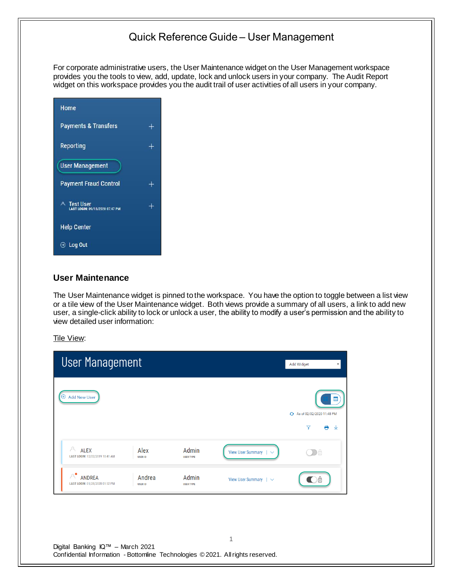For corporate administrative users, the User Maintenance widget on the User Management workspace provides you the tools to view, add, update, lock and unlock users in your company. The Audit Report widget on this workspace provides you the audit trail of user activities of all users in your company.

| Home                                           |        |
|------------------------------------------------|--------|
| <b>Payments &amp; Transfers</b>                |        |
| Reporting                                      | $^{+}$ |
| <b>User Management</b>                         |        |
| <b>Payment Fraud Control</b>                   | ┿      |
| A Test User<br>LAST LOGIN: 09/15/2020 07:47 PM | ┿      |
| <b>Help Center</b>                             |        |
| → Log Out                                      |        |

### **User Maintenance**

The User Maintenance widget is pinned to the workspace. You have the option to toggle between a list view or a tile view of the User Maintenance widget. Both views provide a summary of all users, a link to add new user, a single-click ability to lock or unlock a user, the ability to modify a user's permission and the ability to view detailed user information:

Tile View:

| <b>User Management</b>                                                                        |                                                                                      | Add Widget<br>$\overline{\mathbf{v}}$                         |
|-----------------------------------------------------------------------------------------------|--------------------------------------------------------------------------------------|---------------------------------------------------------------|
| $\oplus$ Add New User                                                                         |                                                                                      | H<br>+ As of 02/02/2020 11:48 PM<br>$\triangledown$<br>e<br>玉 |
| A<br><b>ALEX</b><br>Alex<br>LAST LOGIN: 12/02/2019 10:41 AM<br><b>USER ID</b>                 | Admin<br>View User Summary  <br><b>USER TYPE</b>                                     | DA                                                            |
| $A^{\bullet}$<br><b>ANDREA</b><br>Andrea<br>LAST LOGIN: 01/28/2020 01:52 PM<br><b>USER ID</b> | Admin<br>View User Summary $\vert \vee$<br><b>USER TYPE</b>                          |                                                               |
|                                                                                               |                                                                                      |                                                               |
| Digital Banking IQ™ - March 2021                                                              | 1<br>Confidential Information - Bottomline Technologies © 2021. All rights reserved. |                                                               |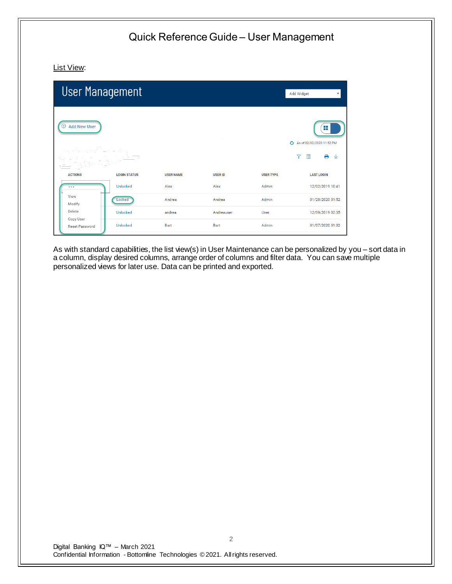List View:

| <b>User Management</b>          |                     |                  |                |                  | Add Widget<br>$\overline{\mathbf{v}}$                                       |
|---------------------------------|---------------------|------------------|----------------|------------------|-----------------------------------------------------------------------------|
| <b>Add New User</b><br>$^{(+)}$ |                     |                  |                |                  | H<br>← As of 02/02/2020 11:52 PM<br>e.<br>$\overline{\mathbf{Y}}$<br>m<br>业 |
| <b>ACTIONS</b>                  | <b>LOGIN STATUS</b> | <b>USER NAME</b> | <b>USER ID</b> | <b>USER TYPE</b> | <b>LAST LOGIN</b>                                                           |
| $\cdots$                        | Unlocked            | Alex             | Alex           | Admin            | 12/02/2019 10:41                                                            |
| View<br>Modify                  | Locked              | Andrea           | Andrea         | Admin            | 01/28/2020 01:52                                                            |
| Delete                          | Unlocked            | andrea           | Andreauser     | User             | 12/09/2019 02:35                                                            |
| Copy User<br>Reset Password     | Unlocked            | Bart             | Bart           | Admin            | 01/07/2020 01:02                                                            |

As with standard capabilities, the list view(s) in User Maintenance can be personalized by you – sort data in a column, display desired columns, arrange order of columns and filter data. You can save multiple personalized views for later use. Data can be printed and exported.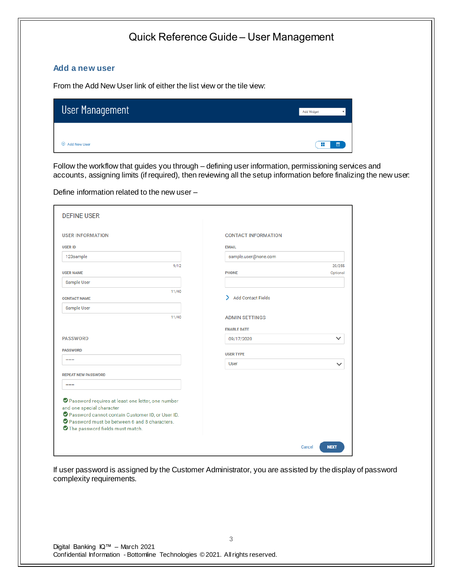#### **Add a new user**

From the Add New User link of either the list view or the tile view:

| User Management     | <b>Add Widget</b> |
|---------------------|-------------------|
| <b>Add New User</b> | H                 |
| $^{(+)}$            | H                 |

Follow the workflow that guides you through – defining user information, permissioning services and accounts, assigning limits (if required), then reviewing all the setup information before finalizing the new user:

Define information related to the new user –

| <b>USER INFORMATION</b>                                                       | <b>CONTACT INFORMATION</b>     |             |
|-------------------------------------------------------------------------------|--------------------------------|-------------|
| <b>USER ID</b>                                                                | <b>EMAIL</b>                   |             |
| 123sample                                                                     | sample.user@none.com           |             |
| 9/12                                                                          |                                | 20/255      |
| <b>USER NAME</b>                                                              | <b>PHONE</b>                   | Optional    |
| Sample User                                                                   |                                |             |
| 11/40                                                                         |                                |             |
| <b>CONTACT NAME</b>                                                           | <b>Add Contact Fields</b><br>> |             |
| Sample User                                                                   |                                |             |
| 11/40                                                                         | <b>ADMIN SETTINGS</b>          |             |
|                                                                               | <b>ENABLE DATE</b>             |             |
| <b>PASSWORD</b>                                                               |                                |             |
|                                                                               | 09/17/2020                     | $\check{ }$ |
| <b>PASSWORD</b>                                                               | <b>USER TYPE</b>               |             |
|                                                                               | <b>User</b>                    |             |
|                                                                               |                                | $\check{ }$ |
| <b>REPEAT NEW PASSWORD</b>                                                    |                                |             |
|                                                                               |                                |             |
|                                                                               |                                |             |
| Password requires at least one letter, one number                             |                                |             |
| and one special character<br>Password cannot contain Customer ID, or User ID. |                                |             |
| Password must be between 6 and 8 characters.                                  |                                |             |
| The password fields must match.                                               |                                |             |

If user password is assigned by the Customer Administrator, you are assisted by the display of password complexity requirements.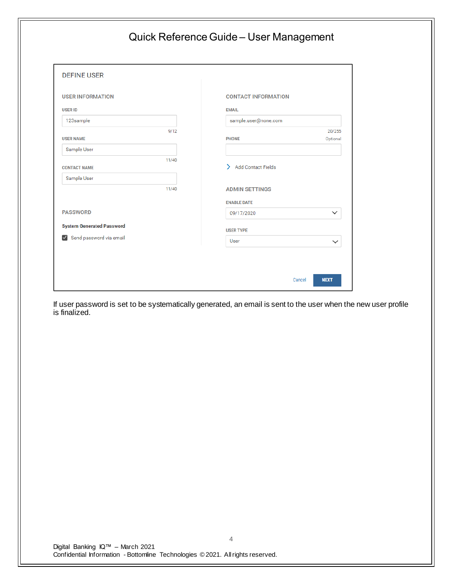| <b>DEFINE USER</b>               |                            |
|----------------------------------|----------------------------|
| <b>USER INFORMATION</b>          | <b>CONTACT INFORMATION</b> |
| <b>USER ID</b>                   | <b>EMAIL</b>               |
| 123sample                        | sample.user@none.com       |
| 9/12                             | 20/255                     |
| <b>USER NAME</b>                 | <b>PHONE</b><br>Optional   |
| Sample User                      |                            |
| 11/40<br><b>CONTACT NAME</b>     | > Add Contact Fields       |
| Sample User                      |                            |
| 11/40                            | <b>ADMIN SETTINGS</b>      |
|                                  | <b>ENABLE DATE</b>         |
| <b>PASSWORD</b>                  | $\checkmark$<br>09/17/2020 |
| <b>System Generated Password</b> |                            |
| Send password via email          | <b>USER TYPE</b>           |
|                                  | User<br>$\checkmark$       |

If user password is set to be systematically generated, an email is sent to the user when the new user profile is finalized.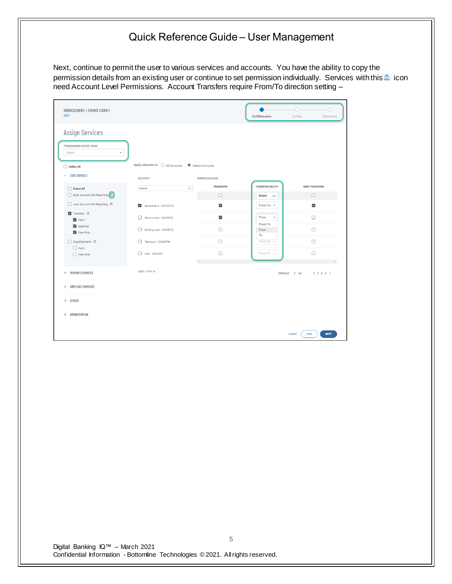Next, continue to permit the user to various services and accounts. You have the ability to copy the permission details from an existing user or continue to set permission individually. Services with this in icon need Account Level Permissions. Account Transfers require From/To direction setting –

| DEMOUSER1   DEMO USER1<br><b>EDIT</b>                                                          |                                                                           |                              | <b>Entitlements</b>     | O<br>Limits<br>Summary        |
|------------------------------------------------------------------------------------------------|---------------------------------------------------------------------------|------------------------------|-------------------------|-------------------------------|
| <b>Assign Services</b><br>PERMISSIONS COPIED FROM<br>Select<br>$\check{}$<br>$\Box$ Select All | Apply selection to $\bigcirc$ All Accounts $\circledcirc$ Select Accounts |                              |                         |                               |
| - CORE SERVICES                                                                                | <b>ACCOUNTS</b>                                                           | <b>PERMISSIONS NAME</b>      |                         |                               |
| $\Box$ Select All                                                                              | $\mathsf Q$<br>Search                                                     | <b>TRANSFERS</b>             | <b>TRANSFER ABILITY</b> | <b>WIRE TRANSFERS</b>         |
| Bank Account Info Reporting (m)                                                                |                                                                           | $\Box$                       | Select<br>$\checkmark$  | $\Box$                        |
| Loan Account Info Reporting III                                                                | General Acct - 123123123                                                  | $\overline{\mathsf{v}}$      | From/To +               | $\overline{\mathsf{S}}$       |
| V Transfers <b>m</b><br>$\vee$ Input                                                           | п<br>Reserve Acct - 23235252                                              | $\overline{\mathsf{v}}$      | From<br>$\check{}$      | $\Box$                        |
| Approval<br>V View Only                                                                        | <b>Building Loan - 36254512</b>                                           | $\Box$                       | From/To<br>From<br>To   | $\Box$                        |
| Stop Payments m                                                                                | Test Acct - 123456789<br>п                                                | $\Box$                       | From/To -               | $\Box$                        |
| $\Box$ Input<br>View Only                                                                      | $AAA - 10010001$                                                          | $\Box$                       | From/To +               | $\Box$                        |
| + PAYMENTS SERVICES                                                                            | VIEW 1-5 OF 16                                                            | $\left\langle \right\rangle$ |                         | 1234<br>DISPLAY $5 \vee$      |
| + SIMPLIFIED PAYMENTS                                                                          |                                                                           |                              |                         |                               |
| $+$ OTHERS                                                                                     |                                                                           |                              |                         |                               |
| + ADMINISTRATION                                                                               |                                                                           |                              |                         |                               |
|                                                                                                |                                                                           |                              |                         | back<br><b>NEXT</b><br>Cancel |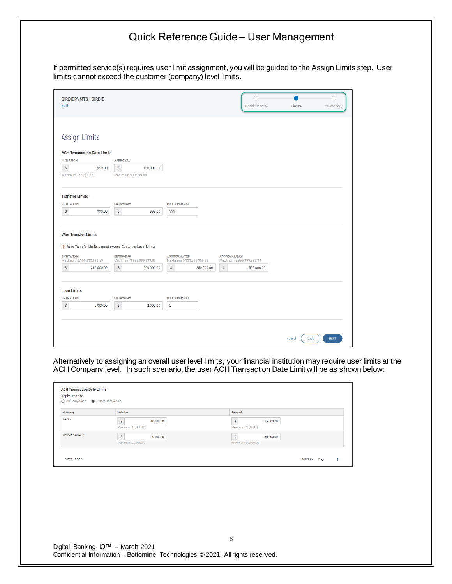If permitted service(s) requires user limit assignment, you will be guided to the Assign Limits step. User limits cannot exceed the customer (company) level limits.

| <b>BIRDIEPYMTS   BIRDIE</b><br><b>EDIT</b>                                                                                                      | Limits<br><b>Entitlements</b><br>Summary        |
|-------------------------------------------------------------------------------------------------------------------------------------------------|-------------------------------------------------|
|                                                                                                                                                 |                                                 |
|                                                                                                                                                 |                                                 |
| Assign Limits                                                                                                                                   |                                                 |
| <b>ACH Transaction Date Limits</b>                                                                                                              |                                                 |
| <b>INITIATION</b><br><b>APPROVAL</b>                                                                                                            |                                                 |
| $\mathsf S$<br>9,999.00<br>$\mathsf S$<br>100,000.00                                                                                            |                                                 |
| Maximum 999,999.99<br>Maximum 999,999.88                                                                                                        |                                                 |
|                                                                                                                                                 |                                                 |
| <b>Transfer Limits</b>                                                                                                                          |                                                 |
|                                                                                                                                                 |                                                 |
| <b>ENTRY/TXN</b><br><b>ENTRY/DAY</b><br><b>MAX # PER DAY</b><br>$\boldsymbol{\mathsf{S}}$<br>999.00<br>999.00<br>999                            |                                                 |
| $\mathsf{\$}$                                                                                                                                   |                                                 |
|                                                                                                                                                 |                                                 |
| <b>Wire Transfer Limits</b>                                                                                                                     |                                                 |
| (!) Wire Transfer Limits cannot exceed Customer Level Limits                                                                                    |                                                 |
|                                                                                                                                                 |                                                 |
| <b>ENTRY/TXN</b><br><b>ENTRY/DAY</b><br><b>APPROVAL/TXN</b><br>Maximum 9,999,999,999.99<br>Maximum 9,999,999,999.99<br>Maximum 9,999,999,999.99 | <b>APPROVAL/DAY</b><br>Maximum 9,999,999,999.99 |
| $\mathsf S$<br>$\boldsymbol{\mathsf{S}}$<br>\$<br>$\mathsf S$<br>250,000.00<br>500,000.00<br>250,000.00                                         | 500,000.00                                      |
|                                                                                                                                                 |                                                 |
| <b>Loan Limits</b>                                                                                                                              |                                                 |
| <b>ENTRY/TXN</b><br><b>ENTRY/DAY</b><br><b>MAX # PER DAY</b>                                                                                    |                                                 |
| $\mathbb{S}$<br>$\boldsymbol{\mathsf{S}}$<br>$\overline{2}$<br>2,000.00<br>2,000.00                                                             |                                                 |
|                                                                                                                                                 |                                                 |
|                                                                                                                                                 |                                                 |
|                                                                                                                                                 |                                                 |
|                                                                                                                                                 |                                                 |
|                                                                                                                                                 | <b>NEXT</b><br>Cancel<br>back                   |

Alternatively to assigning an overall user level limits, your financial institution may require user limits at the ACH Company level. In such scenario, the user ACH Transaction Date Limit will be as shown below:

| <b>ACH Transaction Date Limits</b><br>Apply limits to<br>◯ All Companies | Select Companies                     |                                     |
|--------------------------------------------------------------------------|--------------------------------------|-------------------------------------|
| Company                                                                  | Initiation                           | Approval                            |
| RACInc                                                                   | S.<br>10,000.00<br>Maximum 10,000.00 | S<br>15,000.00<br>Maximum 15,000.00 |
| My ACH Company                                                           | s.<br>20,000.00<br>Maximum 20,000.00 | Ŝ<br>30,000.00<br>Maximum 30,000.00 |
| VIEW 1-2 OF 2                                                            |                                      | DISPLAY $2\sqrt{ }$                 |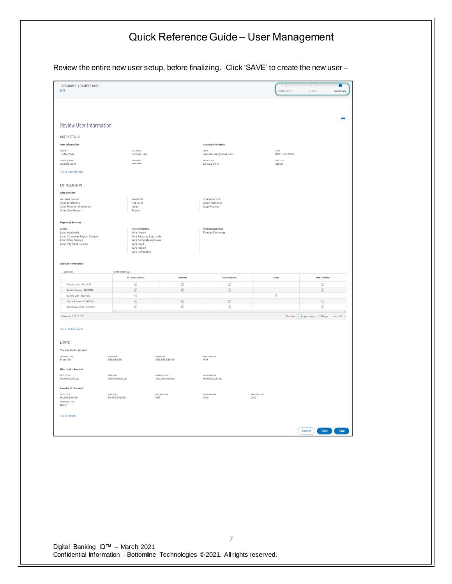#### Quick Reference Guide – User Management Review the entire new user setup, before finalizing. Click 'SAVE' to create the new user –123SAMPLE | SAMPLE USER  $\overline{\bullet}$ Charles Communication<br>Entitlements Limits Summary  $\ddot{\phantom{0}}$ **Review User Information USER DETAILS Contact Information** User Information user name<br>Sample User user io<br>123 sample вмак.<br>sample.user@none.com PHONE<br>(555) 123-5555 PASSWORD<br>\*\*\*\*\*\*\*\* CONTACT NAME<br>Sample User ENABLE DATE<br>28-Aug-2019 user type<br>Admin Go to User Details ENTITLEMENTS **Core Services** BR - SAME DAY RPT.<br>Account History<br>Cash Position Worksheet<br>Same Day Report STOP PAYMENTS<br>Stop Payments<br>Stop Reports TRANSFERS<br>Approval<br>Input<br>Report **Payments Services** WIRE TRANSFERS<br>Wire Import<br>Wire Pending Approvals<br>Wire Template Approval<br>Wire Imput<br>Wire Report<br>Wire Templates LOANS<br>Loan Approvals<br>Loan Customer Report Service<br>Loan Payment Service<br>Loan Payment Service FOREIGN EXCHANGE<br>Foreign Exchange **Account Permissions** ACCOUNTS INS NAME **BR** - Same Day Rpt Transfers **Stop Payments** Loans Wire Transfers  $\circ$ First Account - 123123123  $\circ$  $\odot$ Building Account - 23235252  $\odot$  $\odot$  $\odot$  $\odot$ Building Loan - 36254512 Ō  $\odot$  $\textbf{Capital Account} \cdot \textbf{123456789}$  $\oslash$  $\odot$  $\odot$  $\odot$ Operating Account - 10010001  $\circ$  $\circ$  $\circ$  $\circ$ Viewing 1-5 of 12 Display  $\boxed{5}$   $\overline{ }$  per page  $\boxed{4}$  Page  $\boxed{1}$  of 3  $\rightarrow$ Go to Entitlements **LIMITS Transfer Limit - Account** MAX # PER DAY<br>999 ENTRY/TXN<br>888,888.88 ACCOUNT TYPE<br>From/To ENTRY/DAY<br>888,888,888.99 Wire Limit - Account entry/txn<br>999,999,999.00 entry/day<br>999,999,999.00 approval/txn<br>999,999,999.00 approval/day<br>999,999,999.00 Loan Limit - Account APPROVAL/TXN<br>0.00 APPROVAL/DAY<br>0.00 entry/txn<br>99,999,999.99 MAX # PER DAY<br>999 entry/day<br>99,999,999.99 APPROVAL TYPE<br>None Go to Limits Cancel Back Save

Digital Banking IQ™ – March 2021 Confidential Information - Bottomline Technologies © 2021. Allrights reserved.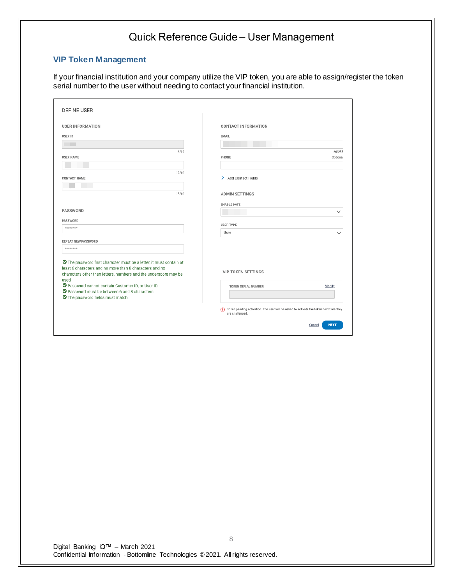### **VIP Token Management**

If your financial institution and your company utilize the VIP token, you are able to assign/register the token serial number to the user without needing to contact your financial institution.

| <b>DEFINE USER</b>                                                                                                          |                                                                                                          |
|-----------------------------------------------------------------------------------------------------------------------------|----------------------------------------------------------------------------------------------------------|
| <b>USER INFORMATION</b>                                                                                                     | <b>CONTACT INFORMATION</b>                                                                               |
| <b>USER ID</b>                                                                                                              | <b>EMAIL</b>                                                                                             |
|                                                                                                                             |                                                                                                          |
| 6/12                                                                                                                        | 26/255                                                                                                   |
| <b>USER NAME</b>                                                                                                            | PHONE<br>Optional                                                                                        |
|                                                                                                                             |                                                                                                          |
| 12/40                                                                                                                       |                                                                                                          |
| <b>CONTACT NAME</b>                                                                                                         | Add Contact Fields                                                                                       |
|                                                                                                                             |                                                                                                          |
| 15/40                                                                                                                       | <b>ADMIN SETTINGS</b>                                                                                    |
|                                                                                                                             | <b>ENABLE DATE</b>                                                                                       |
| <b>PASSWORD</b>                                                                                                             | $\checkmark$                                                                                             |
| PASSWORD                                                                                                                    |                                                                                                          |
| ********                                                                                                                    | <b>USER TYPE</b>                                                                                         |
|                                                                                                                             | User<br>$\check{ }$                                                                                      |
| <b>REPEAT NEW PASSWORD</b>                                                                                                  |                                                                                                          |
| ********                                                                                                                    |                                                                                                          |
|                                                                                                                             |                                                                                                          |
| The password first character must be a letter, it must contain at                                                           |                                                                                                          |
| least 6 characters and no more than 8 characters and no<br>characters other than letters, numbers and the underscore may be | <b>VIP TOKEN SETTINGS</b>                                                                                |
| used                                                                                                                        |                                                                                                          |
| Password cannot contain Customer ID, or User ID.                                                                            | Modify<br><b>TOKEN SERIAL NUMBER</b>                                                                     |
| Password must be between 6 and 8 characters.                                                                                |                                                                                                          |
| The password fields must match.                                                                                             |                                                                                                          |
|                                                                                                                             | Token pending activation. The user will be asked to activate the token next time they<br>are challenged. |
|                                                                                                                             | <b>NEXT</b><br>Cancel                                                                                    |
|                                                                                                                             |                                                                                                          |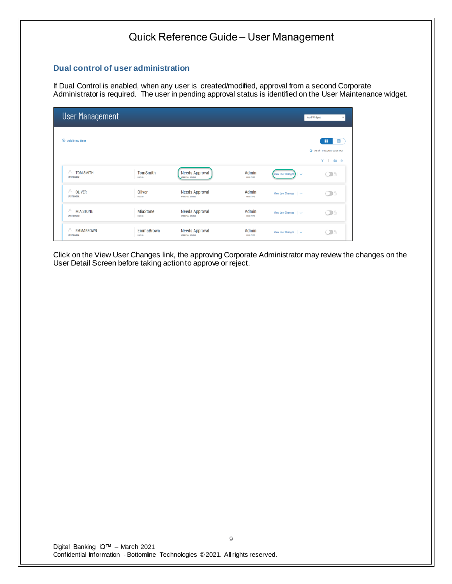#### **Dual control of user administration**

If Dual Control is enabled, when any user is created/modified, approval from a second Corporate Administrator is required. The user in pending approval status is identified on the User Maintenance widget.

| <b>User Management</b>                      |                                    |                                                 |                           |                                | Add Widget<br>$\mathbf{v}$  |
|---------------------------------------------|------------------------------------|-------------------------------------------------|---------------------------|--------------------------------|-----------------------------|
| $\bigoplus$<br><b>Add New User</b>          |                                    |                                                 |                           |                                | 鹽<br>m                      |
|                                             |                                    |                                                 |                           |                                | + As of 11/13/2019 03:36 PM |
|                                             |                                    |                                                 |                           |                                | $Y \perp$<br>● →            |
| A<br><b>TOM SMITH</b><br><b>LAST LOGIN:</b> | <b>TomSmith</b><br><b>USER ID</b>  | <b>Needs Approval</b><br><b>APPROVAL STATUS</b> | Admin<br><b>USER TYPE</b> | View User Changes   $\vee$     | $\bigcirc$                  |
| A<br><b>OLIVER</b><br><b>LAST LOGIN:</b>    | Oliver<br><b>USER ID</b>           | Needs Approval<br><b>APPROVAL STATUS</b>        | Admin<br><b>USER TYPE</b> | View User Changes $\vert \vee$ | Od                          |
| A<br><b>MIA STONE</b><br><b>LAST LOGIN:</b> | MiaStone<br><b>USER ID</b>         | <b>Needs Approval</b><br><b>APPROVAL STATUS</b> | Admin<br><b>USER TYPE</b> | View User Changes $\vert \vee$ | Œ                           |
| A<br><b>EMMABROWN</b><br><b>LAST LOGIN:</b> | <b>EmmaBrown</b><br><b>USER ID</b> | Needs Approval<br><b>APPROVAL STATUS</b>        | Admin<br><b>USER TYPE</b> | View User Changes $\vert \vee$ | $\sum$                      |

Click on the View User Changes link, the approving Corporate Administrator may review the changes on the User Detail Screen before taking action to approve or reject.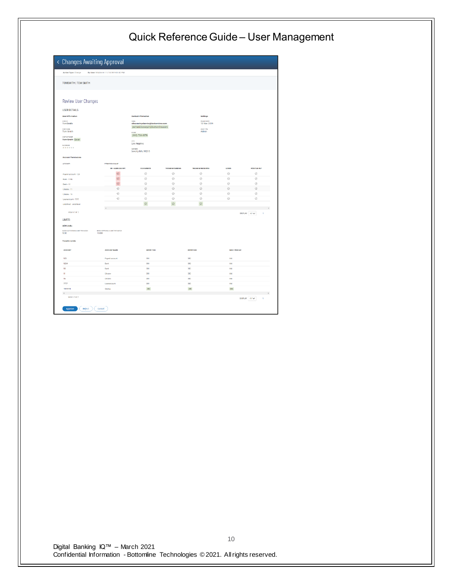| Action Type: Change                                                                                                 | By User: MfaDarvin 11/13/2019 03:42 PM |                                                                                                                                                                         |                  |                                                         |                      |                     |
|---------------------------------------------------------------------------------------------------------------------|----------------------------------------|-------------------------------------------------------------------------------------------------------------------------------------------------------------------------|------------------|---------------------------------------------------------|----------------------|---------------------|
| TOMSMITH   TOM SMITH                                                                                                |                                        |                                                                                                                                                                         |                  |                                                         |                      |                     |
| <b>Review User Changes</b><br><b>USER DETAILS</b><br><b>User Information</b>                                        |                                        | <b>Contact Information</b>                                                                                                                                              |                  | <b>Settings</b>                                         |                      |                     |
| USER ID<br>TomSmith<br><b>USER NAME</b><br>Tom Smith<br><b>CONTACT NAME</b><br>Tom Smith Ewan<br>PASSMORD<br>****** |                                        | <b>EMAIL</b><br>olha.meinychenko@bottomline.com<br>yevhenii.konevych@bottomline.com<br>PERMIT<br>(990) 704-4979<br>one<br>Los Angeles<br>ADDRESS<br>beverly hills 90210 |                  | <b>DIABLE DATE</b><br>13 Nov 2019<br>USER TYPE<br>Admin |                      |                     |
| <b>Account Permissions</b>                                                                                          |                                        |                                                                                                                                                                         |                  |                                                         |                      |                     |
| ACCOUNTS                                                                                                            | FERMISSIONS NAME<br>DR - SAME DAY RPT. | <b>STATEMENTS</b>                                                                                                                                                       | TRANSFER SENDING | TRANSFER RECEIVING                                      | LOANS                | POSITIVE PAY        |
| Payroll account - 123                                                                                               | $\odot$                                | ⊘                                                                                                                                                                       | $\odot$          | $\odot$                                                 | $\circ$              | Ø                   |
| <b>Bank - 1234</b>                                                                                                  | $\odot$                                | Ø                                                                                                                                                                       | Ø                | Ø                                                       | Ø                    | Ø                   |
| $Dank - 10$                                                                                                         | $\odot$                                | $\circledcirc$                                                                                                                                                          | Ø                | $\circledcirc$                                          | $\odot$              | Ø                   |
| Ukraine - 11                                                                                                        | $\odot$                                | $\odot$                                                                                                                                                                 | $\odot$          | $\odot$                                                 | $\odot$              | $\odot$             |
| Ukraine - 16                                                                                                        | Ø                                      | $\circledcirc$                                                                                                                                                          | Ø                | $\odot$                                                 | $\odot$              | Ø                   |
| Loanacoount - 7777                                                                                                  | $\circ$                                | $^{\circ}$                                                                                                                                                              | Ø                | $\oslash$                                               | $\circ$              | Ø                   |
| undefined - undefined                                                                                               | $\epsilon$                             | $\odot$                                                                                                                                                                 | $\odot$          | $\odot$                                                 |                      |                     |
| MEN1-7 OF 7                                                                                                         |                                        |                                                                                                                                                                         |                  |                                                         |                      | DISPLAY AII V<br>h, |
| <b>LIMITS</b>                                                                                                       |                                        |                                                                                                                                                                         |                  |                                                         |                      |                     |
|                                                                                                                     |                                        |                                                                                                                                                                         |                  |                                                         |                      |                     |
|                                                                                                                     | BATCH APPROVAL 5 LIMIT PER BATCH       |                                                                                                                                                                         |                  |                                                         |                      |                     |
| <b>ACH Limits</b><br>BATCH ACTIVATION \$ LIMIT PER BATCH<br>5.00<br>13.00                                           |                                        |                                                                                                                                                                         |                  |                                                         |                      |                     |
| <b>Transfer Limits</b>                                                                                              |                                        |                                                                                                                                                                         |                  |                                                         |                      |                     |
| <b>ACCOUNT</b>                                                                                                      | ACCOUNT NAME                           | <b>ENTRY/TXN</b>                                                                                                                                                        |                  | ENTRY/DAY                                               | <b>MAX # PER DAY</b> |                     |
| 123                                                                                                                 | Payroll account                        | 300                                                                                                                                                                     |                  | 300                                                     | 666                  |                     |
| 1234                                                                                                                | Bank                                   | 300                                                                                                                                                                     |                  | 300                                                     | 666                  |                     |
|                                                                                                                     | Bank                                   | 300                                                                                                                                                                     |                  | 300                                                     | 666                  |                     |
| 10<br>n                                                                                                             | Ukraine                                | 300                                                                                                                                                                     |                  | 300                                                     | 666                  |                     |
| 16                                                                                                                  | Ukraine                                | 300                                                                                                                                                                     |                  | 300                                                     | 066                  |                     |
| $\overline{nn}$<br>4141444                                                                                          | Loanscepure<br>Sering                  | 300<br>300 <sub>o</sub>                                                                                                                                                 |                  | 200<br>300 <sub>°</sub>                                 | $666\,$<br>666       |                     |